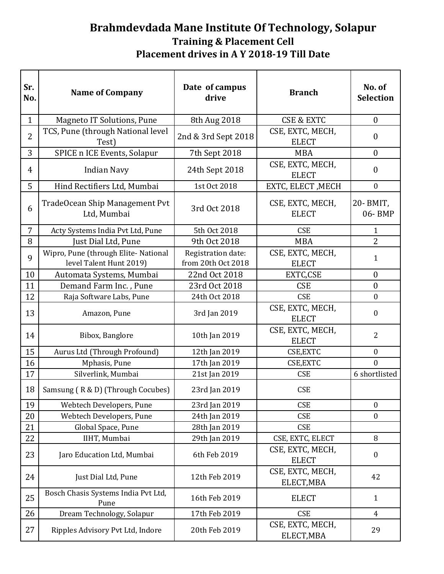## **Brahmdevdada Mane Institute Of Technology, Solapur Training & Placement Cell Placement drives in A Y 2018-19 Till Date**

| Sr.<br>No.     | <b>Name of Company</b>                                          | Date of campus<br>drive                  | <b>Branch</b>                    | No. of<br><b>Selection</b> |
|----------------|-----------------------------------------------------------------|------------------------------------------|----------------------------------|----------------------------|
| $\mathbf{1}$   | <b>Magneto IT Solutions, Pune</b>                               | 8th Aug 2018                             | <b>CSE &amp; EXTC</b>            | $\boldsymbol{0}$           |
| $\overline{2}$ | TCS, Pune (through National level<br>Test)                      | 2nd & 3rd Sept 2018                      | CSE, EXTC, MECH,<br><b>ELECT</b> | $\boldsymbol{0}$           |
| 3              | SPICE n ICE Events, Solapur                                     | 7th Sept 2018                            | <b>MBA</b>                       | $\boldsymbol{0}$           |
| 4              | <b>Indian Navy</b>                                              | 24th Sept 2018                           | CSE, EXTC, MECH,<br><b>ELECT</b> | $\boldsymbol{0}$           |
| 5              | Hind Rectifiers Ltd, Mumbai                                     | 1st Oct 2018                             | EXTC, ELECT, MECH                | $\boldsymbol{0}$           |
| 6              | TradeOcean Ship Management Pvt<br>Ltd, Mumbai                   | 3rd Oct 2018                             | CSE, EXTC, MECH,<br><b>ELECT</b> | 20- BMIT,<br>06-BMP        |
| $\overline{7}$ | Acty Systems India Pvt Ltd, Pune                                | 5th Oct 2018                             | <b>CSE</b>                       | $\mathbf{1}$               |
| 8              | Just Dial Ltd, Pune                                             | 9th Oct 2018                             | <b>MBA</b>                       | $\overline{2}$             |
| 9              | Wipro, Pune (through Elite- National<br>level Talent Hunt 2019) | Registration date:<br>from 20th Oct 2018 | CSE, EXTC, MECH,<br><b>ELECT</b> | $\mathbf{1}$               |
| 10             | Automata Systems, Mumbai                                        | 22nd Oct 2018                            | EXTC,CSE                         | $\boldsymbol{0}$           |
| 11             | Demand Farm Inc., Pune                                          | 23rd Oct 2018                            | <b>CSE</b>                       | $\boldsymbol{0}$           |
| 12             | Raja Software Labs, Pune                                        | 24th Oct 2018                            | <b>CSE</b>                       | $\boldsymbol{0}$           |
| 13             | Amazon, Pune                                                    | 3rd Jan 2019                             | CSE, EXTC, MECH,<br><b>ELECT</b> | $\boldsymbol{0}$           |
| 14             | Bibox, Banglore                                                 | 10th Jan 2019                            | CSE, EXTC, MECH,<br><b>ELECT</b> | $\overline{2}$             |
| 15             | Aurus Ltd (Through Profound)                                    | 12th Jan 2019                            | CSE, EXTC                        | $\boldsymbol{0}$           |
| 16             | Mphasis, Pune                                                   | 17th Jan 2019                            | CSE, EXTC                        | $\mathbf{0}$               |
| 17             | Silverlink, Mumbai                                              | 21st Jan 2019                            | <b>CSE</b>                       | 6 shortlisted              |
| 18             | Samsung (R & D) (Through Cocubes)                               | 23rd Jan 2019                            | <b>CSE</b>                       |                            |
| 19             | Webtech Developers, Pune                                        | 23rd Jan 2019                            | <b>CSE</b>                       | $\boldsymbol{0}$           |
| 20             | Webtech Developers, Pune                                        | 24th Jan 2019                            | <b>CSE</b>                       | $\boldsymbol{0}$           |
| 21             | Global Space, Pune                                              | 28th Jan 2019                            | <b>CSE</b>                       |                            |
| 22             | IIHT, Mumbai                                                    | 29th Jan 2019                            | CSE, EXTC, ELECT                 | 8                          |
| 23             | Jaro Education Ltd, Mumbai                                      | 6th Feb 2019                             | CSE, EXTC, MECH,<br><b>ELECT</b> | $\boldsymbol{0}$           |
| 24             | Just Dial Ltd, Pune                                             | 12th Feb 2019                            | CSE, EXTC, MECH,<br>ELECT, MBA   | 42                         |
| 25             | Bosch Chasis Systems India Pvt Ltd,<br>Pune                     | 16th Feb 2019                            | <b>ELECT</b>                     | $\mathbf{1}$               |
| 26             | Dream Technology, Solapur                                       | 17th Feb 2019                            | <b>CSE</b>                       | $\overline{4}$             |
| 27             | Ripples Advisory Pvt Ltd, Indore                                | 20th Feb 2019                            | CSE, EXTC, MECH,<br>ELECT, MBA   | 29                         |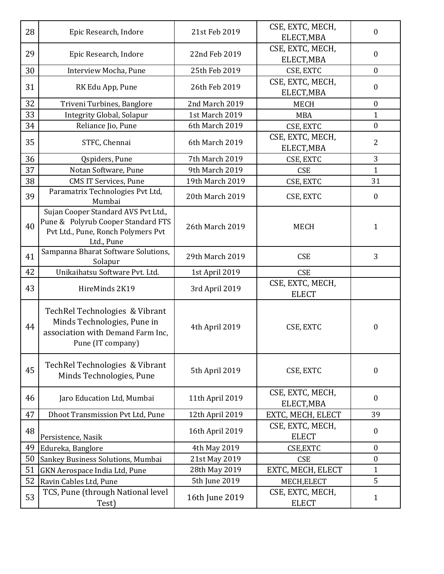| 28 | Epic Research, Indore                                                                                                         | 21st Feb 2019   | CSE, EXTC, MECH,<br>ELECT, MBA   | $\boldsymbol{0}$ |
|----|-------------------------------------------------------------------------------------------------------------------------------|-----------------|----------------------------------|------------------|
| 29 | Epic Research, Indore                                                                                                         | 22nd Feb 2019   | CSE, EXTC, MECH,<br>ELECT, MBA   | $\boldsymbol{0}$ |
| 30 | Interview Mocha, Pune                                                                                                         | 25th Feb 2019   | CSE, EXTC                        | $\boldsymbol{0}$ |
| 31 | RK Edu App, Pune                                                                                                              | 26th Feb 2019   | CSE, EXTC, MECH,<br>ELECT, MBA   | $\boldsymbol{0}$ |
| 32 | Triveni Turbines, Banglore                                                                                                    | 2nd March 2019  | <b>MECH</b>                      | $\boldsymbol{0}$ |
| 33 | Integrity Global, Solapur                                                                                                     | 1st March 2019  | <b>MBA</b>                       | $\mathbf{1}$     |
| 34 | Reliance Jio, Pune                                                                                                            | 6th March 2019  | CSE, EXTC                        | $\boldsymbol{0}$ |
| 35 | STFC, Chennai                                                                                                                 | 6th March 2019  | CSE, EXTC, MECH,<br>ELECT, MBA   | $\overline{2}$   |
| 36 | Qspiders, Pune                                                                                                                | 7th March 2019  | CSE, EXTC                        | 3                |
| 37 | Notan Software, Pune                                                                                                          | 9th March 2019  | <b>CSE</b>                       | $\mathbf{1}$     |
| 38 | <b>CMS IT Services, Pune</b>                                                                                                  | 19th March 2019 | CSE, EXTC                        | 31               |
| 39 | Paramatrix Technologies Pvt Ltd,<br>Mumbai                                                                                    | 20th March 2019 | CSE, EXTC                        | $\boldsymbol{0}$ |
| 40 | Sujan Cooper Standard AVS Pvt Ltd.,<br>Pune & Polyrub Cooper Standard FTS<br>Pvt Ltd., Pune, Ronch Polymers Pvt<br>Ltd., Pune | 26th March 2019 | <b>MECH</b>                      | $\mathbf{1}$     |
| 41 | Sampanna Bharat Software Solutions,<br>Solapur                                                                                | 29th March 2019 | <b>CSE</b>                       | 3                |
| 42 | Unikaihatsu Software Pvt. Ltd.                                                                                                | 1st April 2019  | <b>CSE</b>                       |                  |
| 43 | HireMinds 2K19                                                                                                                | 3rd April 2019  | CSE, EXTC, MECH,<br><b>ELECT</b> |                  |
| 44 | TechRel Technologies & Vibrant                                                                                                |                 |                                  |                  |
|    | Minds Technologies, Pune in<br>association with Demand Farm Inc,<br>Pune (IT company)                                         | 4th April 2019  | CSE, EXTC                        | $\boldsymbol{0}$ |
| 45 | TechRel Technologies & Vibrant<br>Minds Technologies, Pune                                                                    | 5th April 2019  | CSE, EXTC                        | $\boldsymbol{0}$ |
| 46 | Jaro Education Ltd, Mumbai                                                                                                    | 11th April 2019 | CSE, EXTC, MECH,<br>ELECT, MBA   | $\boldsymbol{0}$ |
| 47 | Dhoot Transmission Pvt Ltd, Pune                                                                                              | 12th April 2019 | EXTC, MECH, ELECT                | 39               |
| 48 | Persistence, Nasik                                                                                                            | 16th April 2019 | CSE, EXTC, MECH,<br><b>ELECT</b> | $\boldsymbol{0}$ |
| 49 | Edureka, Banglore                                                                                                             | 4th May 2019    | CSE, EXTC                        | $\boldsymbol{0}$ |
| 50 | Sankey Business Solutions, Mumbai                                                                                             | 21st May 2019   | <b>CSE</b>                       | $\boldsymbol{0}$ |
| 51 | GKN Aerospace India Ltd, Pune                                                                                                 | 28th May 2019   | EXTC, MECH, ELECT                | $\mathbf{1}$     |
| 52 | Ravin Cables Ltd, Pune<br>TCS, Pune (through National level                                                                   | 5th June 2019   | MECH, ELECT                      | 5                |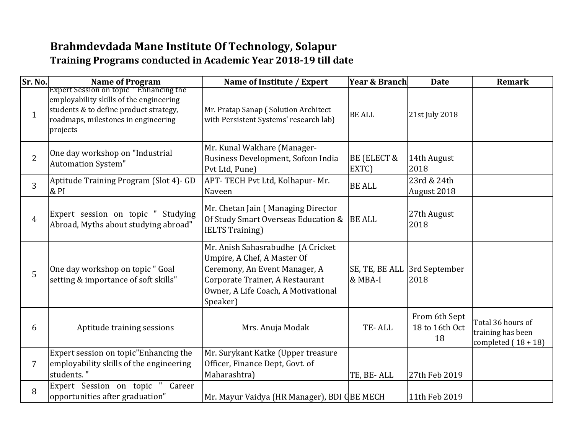## **Brahmdevdada Mane Institute Of Technology, Solapur Training Programs conducted in Academic Year 2018-19 till date**

| Sr. No.        | <b>Name of Program</b>                                                                                                                                                         | Name of Institute / Expert                                                                                                                                                              | <b>Year &amp; Branch</b> | <b>Date</b>                           | <b>Remark</b>                                                   |
|----------------|--------------------------------------------------------------------------------------------------------------------------------------------------------------------------------|-----------------------------------------------------------------------------------------------------------------------------------------------------------------------------------------|--------------------------|---------------------------------------|-----------------------------------------------------------------|
| $\mathbf{1}$   | Expert Session on topic "Enhancing the<br>employability skills of the engineering<br>students & to define product strategy,<br>roadmaps, milestones in engineering<br>projects | Mr. Pratap Sanap (Solution Architect<br>with Persistent Systems' research lab)                                                                                                          | <b>BE ALL</b>            | 21st July 2018                        |                                                                 |
| $\overline{2}$ | One day workshop on "Industrial<br><b>Automation System"</b>                                                                                                                   | Mr. Kunal Wakhare (Manager-<br>Business Development, Sofcon India<br>Pvt Ltd, Pune)                                                                                                     | BE (ELECT &<br>EXTC)     | 14th August<br>2018                   |                                                                 |
| 3              | Aptitude Training Program (Slot 4)- GD<br>& PI                                                                                                                                 | APT- TECH Pvt Ltd, Kolhapur- Mr.<br>Naveen                                                                                                                                              | <b>BE ALL</b>            | 23rd & 24th<br>August 2018            |                                                                 |
| $\overline{4}$ | Expert session on topic " Studying<br>Abroad, Myths about studying abroad"                                                                                                     | Mr. Chetan Jain (Managing Director<br>Of Study Smart Overseas Education & BE ALL<br><b>IELTS Training</b> )                                                                             |                          | 27th August<br>2018                   |                                                                 |
| 5              | One day workshop on topic " Goal<br>setting & importance of soft skills"                                                                                                       | Mr. Anish Sahasrabudhe (A Cricket<br>Umpire, A Chef, A Master Of<br>Ceremony, An Event Manager, A<br>Corporate Trainer, A Restaurant<br>Owner, A Life Coach, A Motivational<br>Speaker) | & MBA-I                  | SE, TE, BE ALL 3rd September<br>2018  |                                                                 |
| 6              | Aptitude training sessions                                                                                                                                                     | Mrs. Anuja Modak                                                                                                                                                                        | TE-ALL                   | From 6th Sept<br>18 to 16th Oct<br>18 | Total 36 hours of<br>training has been<br>completed $(18 + 18)$ |
| 7              | Expert session on topic"Enhancing the<br>employability skills of the engineering<br>students."                                                                                 | Mr. Surykant Katke (Upper treasure<br>Officer, Finance Dept, Govt. of<br>Maharashtra)                                                                                                   | TE, BE-ALL               | 27th Feb 2019                         |                                                                 |
| 8              | Expert Session on topic<br>Career<br>opportunities after graduation"                                                                                                           | Mr. Mayur Vaidya (HR Manager), BDI QBE MECH                                                                                                                                             |                          | 11th Feb 2019                         |                                                                 |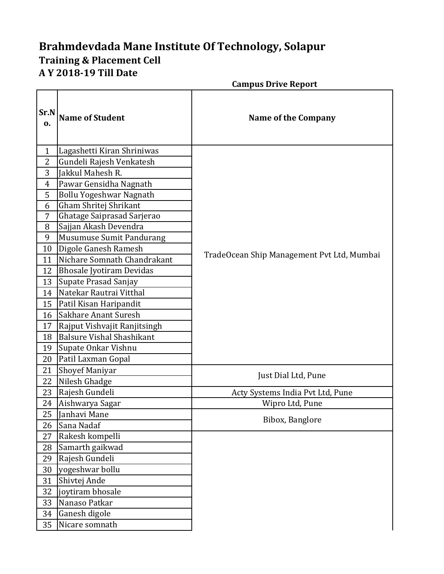## **Brahmdevdada Mane Institute Of Technology, Solapur Training & Placement Cell A Y 2018-19 Till Date**

|                |                                  | <b>Campus Drive Report</b>                 |
|----------------|----------------------------------|--------------------------------------------|
| Sr.N<br>0.     | <b>Name of Student</b>           | <b>Name of the Company</b>                 |
| $\mathbf{1}$   | Lagashetti Kiran Shriniwas       |                                            |
| $\overline{2}$ | Gundeli Rajesh Venkatesh         |                                            |
| 3              | Jakkul Mahesh R.                 |                                            |
| $\overline{4}$ | Pawar Gensidha Nagnath           |                                            |
| 5              | Bollu Yogeshwar Nagnath          |                                            |
| 6              | Gham Shritej Shrikant            |                                            |
| 7              | Ghatage Saiprasad Sarjerao       |                                            |
| 8              | Sajjan Akash Devendra            |                                            |
| 9              | <b>Musumuse Sumit Pandurang</b>  |                                            |
| 10             | Digole Ganesh Ramesh             |                                            |
| 11             | Nichare Somnath Chandrakant      | TradeOcean Ship Management Pvt Ltd, Mumbai |
| 12             | <b>Bhosale Jyotiram Devidas</b>  |                                            |
| 13             | Supate Prasad Sanjay             |                                            |
| 14             | Natekar Rautrai Vitthal          |                                            |
| 15             | Patil Kisan Haripandit           |                                            |
| 16             | Sakhare Anant Suresh             |                                            |
| 17             | Rajput Vishvajit Ranjitsingh     |                                            |
| 18             | <b>Balsure Vishal Shashikant</b> |                                            |
| 19             | Supate Onkar Vishnu              |                                            |
| 20             | Patil Laxman Gopal               |                                            |
| 21             | <b>Shoyef Maniyar</b>            | Just Dial Ltd, Pune                        |
| 22             | Nilesh Ghadge                    |                                            |
| 23             | Rajesh Gundeli                   | Acty Systems India Pvt Ltd, Pune           |
|                | 24 Aishwarya Sagar               | Wipro Ltd, Pune                            |
| 25             | Janhavi Mane                     | Bibox, Banglore                            |
| 26             | Sana Nadaf                       |                                            |
| 27             | Rakesh kompelli                  |                                            |
| 28             | Samarth gaikwad                  |                                            |
| 29             | Rajesh Gundeli                   |                                            |
| 30             | yogeshwar bollu                  |                                            |
| 31             | Shivtej Ande                     |                                            |
| 32             | joytiram bhosale                 |                                            |
| 33             | Nanaso Patkar                    |                                            |
| 34             | Ganesh digole                    |                                            |
| 35             | Nicare somnath                   |                                            |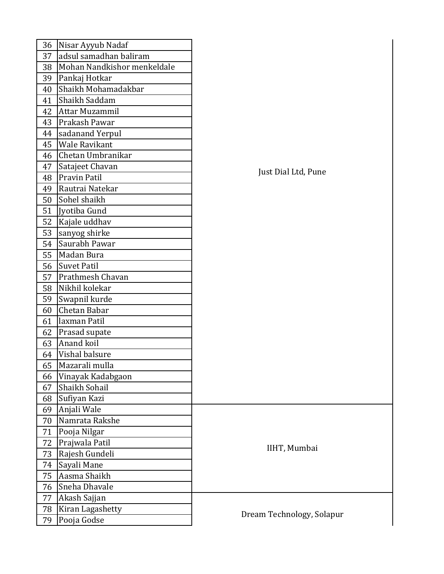| 36 | Nisar Ayyub Nadaf           |                           |
|----|-----------------------------|---------------------------|
| 37 | adsul samadhan baliram      |                           |
| 38 | Mohan Nandkishor menkeldale |                           |
| 39 | Pankaj Hotkar               |                           |
| 40 | Shaikh Mohamadakbar         |                           |
| 41 | Shaikh Saddam               |                           |
| 42 | Attar Muzammil              |                           |
| 43 | Prakash Pawar               |                           |
| 44 | sadanand Yerpul             |                           |
| 45 | <b>Wale Ravikant</b>        |                           |
| 46 | Chetan Umbranikar           |                           |
| 47 | Satajeet Chavan             | Just Dial Ltd, Pune       |
| 48 | <b>Pravin Patil</b>         |                           |
| 49 | Rautrai Natekar             |                           |
| 50 | Sohel shaikh                |                           |
| 51 | Jyotiba Gund                |                           |
| 52 | Kajale uddhav               |                           |
| 53 | sanyog shirke               |                           |
| 54 | Saurabh Pawar               |                           |
| 55 | Madan Bura                  |                           |
| 56 | Suvet Patil                 |                           |
| 57 | Prathmesh Chavan            |                           |
| 58 | Nikhil kolekar              |                           |
| 59 | Swapnil kurde               |                           |
| 60 | Chetan Babar                |                           |
| 61 | laxman Patil                |                           |
| 62 | Prasad supate               |                           |
| 63 | Anand koil                  |                           |
| 64 | Vishal balsure              |                           |
| 65 | Mazarali mulla              |                           |
| 66 | Vinayak Kadabgaon           |                           |
| 67 | Shaikh Sohail               |                           |
| 68 | Sufiyan Kazi                |                           |
| 69 | Anjali Wale                 |                           |
| 70 | Namrata Rakshe              |                           |
| 71 | Pooja Nilgar                |                           |
| 72 | Prajwala Patil              | IIHT, Mumbai              |
| 73 | Rajesh Gundeli              |                           |
| 74 | Sayali Mane                 |                           |
| 75 | Aasma Shaikh                |                           |
| 76 | Sneha Dhavale               |                           |
| 77 | Akash Sajjan                |                           |
| 78 | Kiran Lagashetty            | Dream Technology, Solapur |
| 79 | Pooja Godse                 |                           |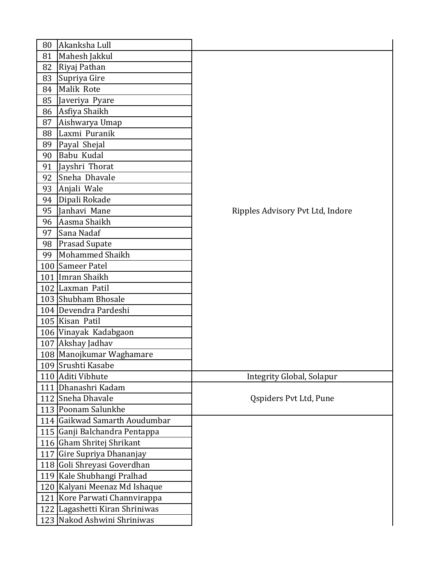| 80 | Akanksha Lull                  |                                  |
|----|--------------------------------|----------------------------------|
| 81 | Mahesh Jakkul                  |                                  |
| 82 | Riyaj Pathan                   |                                  |
| 83 | Supriya Gire                   |                                  |
| 84 | Malik Rote                     |                                  |
| 85 | Javeriya Pyare                 |                                  |
| 86 | Asfiya Shaikh                  |                                  |
| 87 | Aishwarya Umap                 |                                  |
| 88 | Laxmi Puranik                  |                                  |
| 89 | Payal Shejal                   |                                  |
| 90 | Babu Kudal                     |                                  |
| 91 | Jayshri Thorat                 |                                  |
| 92 | Sneha Dhavale                  |                                  |
| 93 | Anjali Wale                    |                                  |
| 94 | Dipali Rokade                  |                                  |
| 95 | Janhavi Mane                   | Ripples Advisory Pvt Ltd, Indore |
| 96 | Aasma Shaikh                   |                                  |
| 97 | Sana Nadaf                     |                                  |
| 98 | <b>Prasad Supate</b>           |                                  |
| 99 | <b>Mohammed Shaikh</b>         |                                  |
|    | 100 Sameer Patel               |                                  |
|    | 101 Imran Shaikh               |                                  |
|    | 102 Laxman Patil               |                                  |
|    | 103 Shubham Bhosale            |                                  |
|    | 104 Devendra Pardeshi          |                                  |
|    | 105 Kisan Patil                |                                  |
|    | 106 Vinayak Kadabgaon          |                                  |
|    | 107 Akshay Jadhav              |                                  |
|    | 108 Manojkumar Waghamare       |                                  |
|    | 109 Srushti Kasabe             |                                  |
|    | 110 Aditi Vibhute              | Integrity Global, Solapur        |
|    | 111 Dhanashri Kadam            |                                  |
|    | 112 Sneha Dhavale              | Qspiders Pvt Ltd, Pune           |
|    | 113 Poonam Salunkhe            |                                  |
|    | 114 Gaikwad Samarth Aoudumbar  |                                  |
|    | 115 Ganji Balchandra Pentappa  |                                  |
|    | 116 Gham Shritej Shrikant      |                                  |
|    | 117 Gire Supriya Dhananjay     |                                  |
|    | 118 Goli Shreyasi Goverdhan    |                                  |
|    | 119 Kale Shubhangi Pralhad     |                                  |
|    | 120 Kalyani Meenaz Md Ishaque  |                                  |
|    | 121 Kore Parwati Channvirappa  |                                  |
|    | 122 Lagashetti Kiran Shriniwas |                                  |
|    | 123 Nakod Ashwini Shriniwas    |                                  |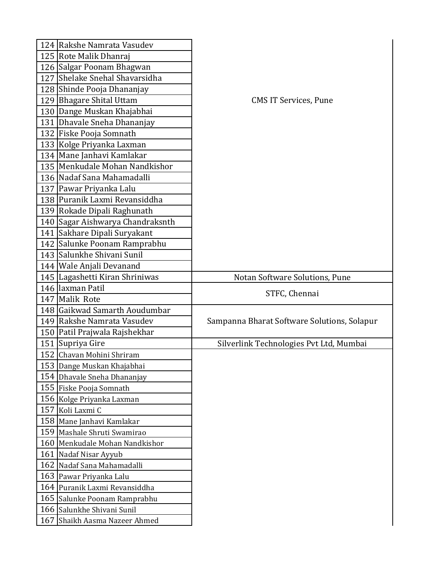| 124 Rakshe Namrata Vasudev       |                                             |
|----------------------------------|---------------------------------------------|
| 125 Rote Malik Dhanraj           |                                             |
| 126 Salgar Poonam Bhagwan        |                                             |
| 127 Shelake Snehal Shavarsidha   |                                             |
| 128 Shinde Pooja Dhananjay       |                                             |
| 129 Bhagare Shital Uttam         | <b>CMS IT Services, Pune</b>                |
| 130 Dange Muskan Khajabhai       |                                             |
| 131 Dhavale Sneha Dhananjay      |                                             |
| 132 Fiske Pooja Somnath          |                                             |
| 133 Kolge Priyanka Laxman        |                                             |
| 134   Mane Janhavi Kamlakar      |                                             |
| 135   Menkudale Mohan Nandkishor |                                             |
| 136 Nadaf Sana Mahamadalli       |                                             |
| 137 Pawar Priyanka Lalu          |                                             |
| 138 Puranik Laxmi Revansiddha    |                                             |
| 139 Rokade Dipali Raghunath      |                                             |
| 140 Sagar Aishwarya Chandraksnth |                                             |
| 141 Sakhare Dipali Suryakant     |                                             |
| 142 Salunke Poonam Ramprabhu     |                                             |
| 143 Salunkhe Shivani Sunil       |                                             |
| 144 Wale Anjali Devanand         |                                             |
| 145 Lagashetti Kiran Shriniwas   | Notan Software Solutions, Pune              |
|                                  |                                             |
| 146 laxman Patil                 |                                             |
| 147 Malik Rote                   | STFC, Chennai                               |
| 148 Gaikwad Samarth Aoudumbar    |                                             |
| 149 Rakshe Namrata Vasudev       | Sampanna Bharat Software Solutions, Solapur |
| 150   Patil Prajwala Rajshekhar  |                                             |
| 151 Supriya Gire                 | Silverlink Technologies Pvt Ltd, Mumbai     |
| 152 Chavan Mohini Shriram        |                                             |
| 153 Dange Muskan Khajabhai       |                                             |
| 154 Dhavale Sneha Dhananjay      |                                             |
| 155 Fiske Pooja Somnath          |                                             |
| 156 Kolge Priyanka Laxman        |                                             |
| 157 Koli Laxmi C                 |                                             |
| 158 Mane Janhavi Kamlakar        |                                             |
| 159 Mashale Shruti Swamirao      |                                             |
| 160 Menkudale Mohan Nandkishor   |                                             |
| 161 Nadaf Nisar Ayyub            |                                             |
| 162 Nadaf Sana Mahamadalli       |                                             |
| 163 Pawar Priyanka Lalu          |                                             |
| 164 Puranik Laxmi Revansiddha    |                                             |
| 165 Salunke Poonam Ramprabhu     |                                             |
| 166 Salunkhe Shivani Sunil       |                                             |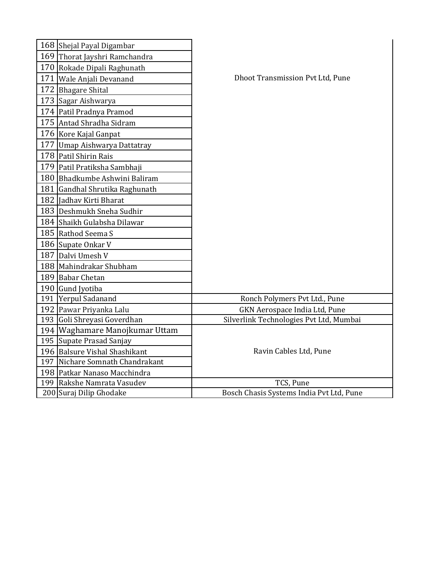| 168 Shejal Payal Digambar        |                                          |
|----------------------------------|------------------------------------------|
| 169 Thorat Jayshri Ramchandra    |                                          |
| 170 Rokade Dipali Raghunath      |                                          |
| 171   Wale Anjali Devanand       | <b>Dhoot Transmission Pvt Ltd, Pune</b>  |
| 172 Bhagare Shital               |                                          |
| 173 Sagar Aishwarya              |                                          |
| 174 Patil Pradnya Pramod         |                                          |
| 175 Antad Shradha Sidram         |                                          |
| 176 Kore Kajal Ganpat            |                                          |
| 177 Umap Aishwarya Dattatray     |                                          |
| 178 Patil Shirin Rais            |                                          |
| 179 Patil Pratiksha Sambhaji     |                                          |
| 180 Bhadkumbe Ashwini Baliram    |                                          |
| 181 Gandhal Shrutika Raghunath   |                                          |
| 182 Jadhav Kirti Bharat          |                                          |
| 183 Deshmukh Sneha Sudhir        |                                          |
| 184 Shaikh Gulabsha Dilawar      |                                          |
| 185 Rathod Seema S               |                                          |
| 186 Supate Onkar V               |                                          |
| 187 Dalvi Umesh V                |                                          |
| 188 Mahindrakar Shubham          |                                          |
| 189 Babar Chetan                 |                                          |
| 190 Gund Jyotiba                 |                                          |
| 191 Yerpul Sadanand              | Ronch Polymers Pvt Ltd., Pune            |
| 192 Pawar Priyanka Lalu          | GKN Aerospace India Ltd, Pune            |
| 193 Goli Shreyasi Goverdhan      | Silverlink Technologies Pvt Ltd, Mumbai  |
| 194   Waghamare Manojkumar Uttam |                                          |
| 195 Supate Prasad Sanjay         |                                          |
| 196 Balsure Vishal Shashikant    | Ravin Cables Ltd, Pune                   |
| 197 Nichare Somnath Chandrakant  |                                          |
| 198 Patkar Nanaso Macchindra     |                                          |
| 199 Rakshe Namrata Vasudev       | TCS, Pune                                |
| 200 Suraj Dilip Ghodake          | Bosch Chasis Systems India Pvt Ltd, Pune |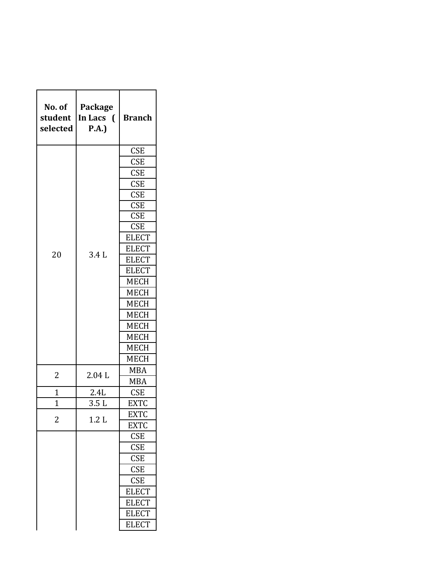| No. of<br>student<br>selected | Package<br>In Lacs<br>$\left($<br>P.A. | <b>Branch</b>           |
|-------------------------------|----------------------------------------|-------------------------|
|                               |                                        | <b>CSE</b>              |
|                               |                                        | <b>CSE</b>              |
|                               |                                        | <b>CSE</b>              |
|                               |                                        | <b>CSE</b>              |
|                               |                                        | <b>CSE</b>              |
|                               |                                        | <b>CSE</b>              |
|                               |                                        | <b>CSE</b>              |
|                               |                                        | <b>CSE</b>              |
|                               |                                        | <b>ELECT</b>            |
| 20                            | 3.4L                                   | <b>ELECT</b>            |
|                               |                                        | <b>ELECT</b>            |
|                               |                                        | <b>ELECT</b>            |
|                               |                                        | <b>MECH</b>             |
|                               |                                        | <b>MECH</b>             |
|                               |                                        | <b>MECH</b>             |
|                               |                                        | <b>MECH</b>             |
|                               |                                        | <b>MECH</b>             |
|                               |                                        | <b>MECH</b>             |
|                               |                                        | <b>MECH</b>             |
|                               |                                        | <b>MECH</b>             |
|                               |                                        | MBA                     |
| 2                             | 2.04L                                  | <b>MBA</b>              |
| 1                             | 2.4L                                   | <b>CSE</b>              |
| $\overline{1}$                | 3.5 L                                  | <b>EXTC</b>             |
|                               |                                        | <b>EXTC</b>             |
| 2                             | 1.2L                                   | <b>EXTC</b>             |
|                               |                                        | <b>CSE</b>              |
|                               |                                        | <b>CSE</b>              |
|                               |                                        | <b>CSE</b>              |
|                               |                                        | CSE                     |
|                               |                                        | $\overline{\text{CSE}}$ |
|                               |                                        | <b>ELECT</b>            |
|                               |                                        | <b>ELECT</b>            |
|                               |                                        | <b>ELECT</b>            |
|                               |                                        | <b>ELECT</b>            |
|                               |                                        |                         |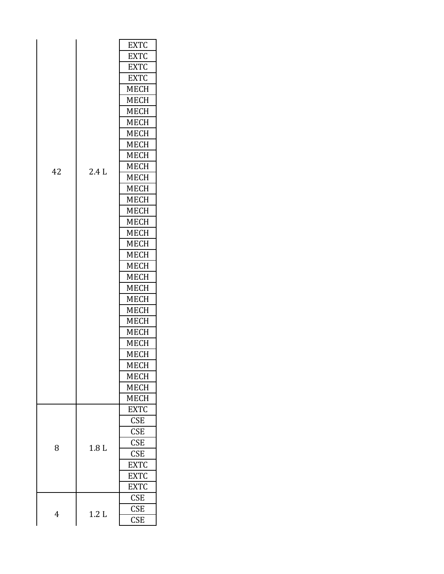|    |                  | <b>EXTC</b> |
|----|------------------|-------------|
|    |                  | <b>EXTC</b> |
|    |                  | <b>EXTC</b> |
|    |                  | <b>EXTC</b> |
|    |                  | <b>MECH</b> |
|    |                  | <b>MECH</b> |
|    |                  | <b>MECH</b> |
|    |                  | <b>MECH</b> |
|    |                  | <b>MECH</b> |
|    |                  | <b>MECH</b> |
|    |                  | <b>MECH</b> |
|    | 2.4L             | <b>MECH</b> |
| 42 |                  | <b>MECH</b> |
|    |                  | <b>MECH</b> |
|    |                  | <b>MECH</b> |
|    |                  | <b>MECH</b> |
|    |                  | <b>MECH</b> |
|    |                  | <b>MECH</b> |
|    |                  | <b>MECH</b> |
|    |                  | <b>MECH</b> |
|    |                  | <b>MECH</b> |
|    |                  | <b>MECH</b> |
|    |                  | <b>MECH</b> |
|    |                  | <b>MECH</b> |
|    |                  | <b>MECH</b> |
|    |                  | <b>MECH</b> |
|    |                  | <b>MECH</b> |
|    |                  | <b>MECH</b> |
|    |                  | MECH        |
|    |                  | MECH        |
|    |                  | <b>MECH</b> |
|    |                  | <b>MECH</b> |
|    |                  | <b>MECH</b> |
|    |                  | <b>EXTC</b> |
|    |                  | <b>CSE</b>  |
|    |                  | <b>CSE</b>  |
| 8  | 1.8 <sub>L</sub> | <b>CSE</b>  |
|    |                  | <b>CSE</b>  |
|    |                  | <b>EXTC</b> |
|    |                  | <b>EXTC</b> |
|    |                  | <b>EXTC</b> |
|    |                  | <b>CSE</b>  |
|    | 1.2L<br>4        | <b>CSE</b>  |
|    |                  | <b>CSE</b>  |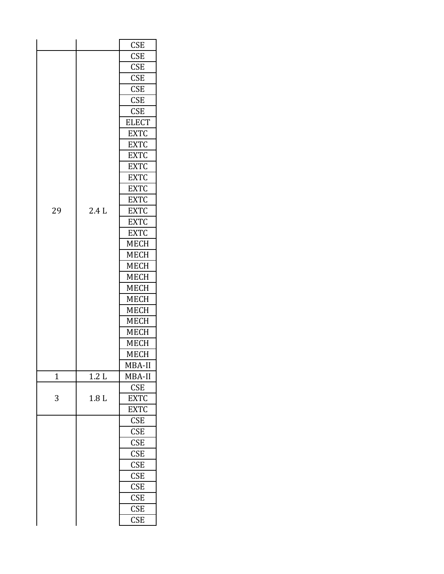|                |                  | <b>CSE</b>   |
|----------------|------------------|--------------|
|                |                  | <b>CSE</b>   |
|                |                  | <b>CSE</b>   |
|                |                  | <b>CSE</b>   |
|                |                  | <b>CSE</b>   |
|                |                  | <b>CSE</b>   |
|                |                  | <b>CSE</b>   |
|                |                  | <b>ELECT</b> |
|                |                  | <b>EXTC</b>  |
|                |                  | <b>EXTC</b>  |
|                |                  | <b>EXTC</b>  |
|                |                  | <b>EXTC</b>  |
|                |                  | <b>EXTC</b>  |
|                |                  | <b>EXTC</b>  |
|                |                  | <b>EXTC</b>  |
| 29             | 2.4L             | <b>EXTC</b>  |
|                |                  | <b>EXTC</b>  |
|                |                  | <b>EXTC</b>  |
|                |                  | <b>MECH</b>  |
|                |                  | <b>MECH</b>  |
|                |                  | <b>MECH</b>  |
|                |                  | <b>MECH</b>  |
|                |                  | <b>MECH</b>  |
|                |                  | <b>MECH</b>  |
|                |                  | <b>MECH</b>  |
|                |                  | <b>MECH</b>  |
|                |                  | <b>MECH</b>  |
|                |                  | <b>MECH</b>  |
|                |                  | <b>MECH</b>  |
|                |                  | MBA-II       |
| $\overline{1}$ | 1.2L             | MBA-II       |
|                |                  | <b>CSE</b>   |
| 3              | 1.8 <sub>L</sub> | <b>EXTC</b>  |
|                |                  | <b>EXTC</b>  |
|                |                  | <b>CSE</b>   |
|                |                  | <b>CSE</b>   |
|                |                  | <b>CSE</b>   |
|                |                  | <b>CSE</b>   |
|                |                  | CSE          |
|                |                  | CSE          |
|                |                  | <b>CSE</b>   |
|                |                  | <b>CSE</b>   |
|                |                  | <b>CSE</b>   |
|                |                  | <b>CSE</b>   |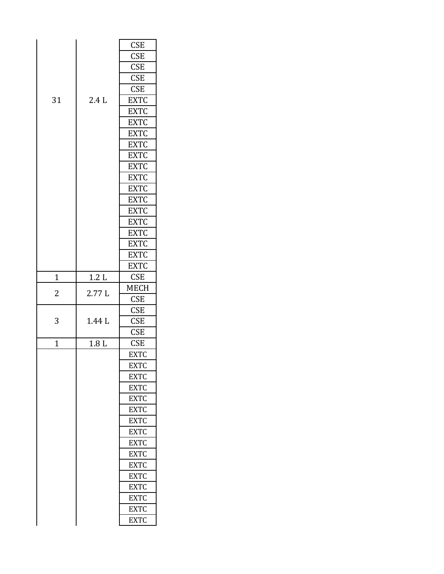|                |                  | <b>CSE</b>  |
|----------------|------------------|-------------|
|                |                  | <b>CSE</b>  |
|                |                  | <b>CSE</b>  |
|                |                  | <b>CSE</b>  |
|                |                  | <b>CSE</b>  |
| 31             | 2.4L             | <b>EXTC</b> |
|                |                  | <b>EXTC</b> |
|                |                  | <b>EXTC</b> |
|                |                  | <b>EXTC</b> |
|                |                  | <b>EXTC</b> |
|                |                  | <b>EXTC</b> |
|                |                  | <b>EXTC</b> |
|                |                  | <b>EXTC</b> |
|                |                  | <b>EXTC</b> |
|                |                  | <b>EXTC</b> |
|                |                  | <b>EXTC</b> |
|                |                  | <b>EXTC</b> |
|                |                  | <b>EXTC</b> |
|                |                  | <b>EXTC</b> |
|                |                  | <b>EXTC</b> |
|                |                  | <b>EXTC</b> |
| 1              | 1.2L             | <b>CSE</b>  |
|                |                  |             |
|                |                  | MECH        |
| 2              | 2.77L            | <b>CSE</b>  |
|                |                  | <b>CSE</b>  |
| 3              | 1.44 L           | <b>CSE</b>  |
|                |                  | <b>CSE</b>  |
| $\overline{1}$ | 1.8 <sub>L</sub> | <b>CSE</b>  |
|                |                  | <b>EXTC</b> |
|                |                  | EXTC        |
|                |                  | <b>EXTC</b> |
|                |                  | <b>EXTC</b> |
|                |                  | <b>EXTC</b> |
|                |                  | <b>EXTC</b> |
|                |                  | <b>EXTC</b> |
|                |                  | <b>EXTC</b> |
|                |                  | <b>EXTC</b> |
|                |                  | <b>EXTC</b> |
|                |                  | <b>EXTC</b> |
|                |                  | <b>EXTC</b> |
|                |                  | <b>EXTC</b> |
|                |                  | <b>EXTC</b> |
|                |                  | <b>EXTC</b> |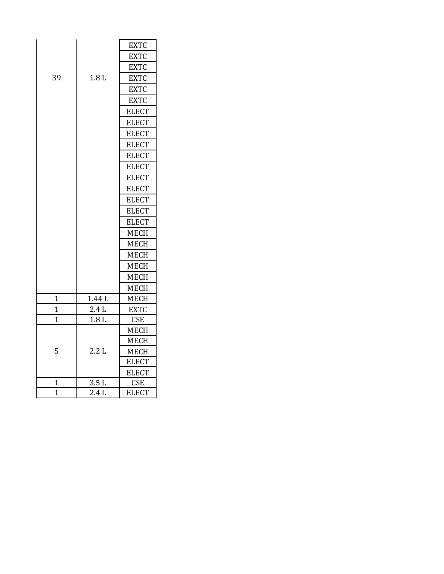|                |                  | <b>EXTC</b>  |
|----------------|------------------|--------------|
|                |                  | <b>EXTC</b>  |
|                |                  | <b>EXTC</b>  |
| 39             | 1.8 <sub>L</sub> | <b>EXTC</b>  |
|                |                  | <b>EXTC</b>  |
|                |                  | <b>EXTC</b>  |
|                |                  | <b>ELECT</b> |
|                |                  | <b>ELECT</b> |
|                |                  | <b>ELECT</b> |
|                |                  | <b>ELECT</b> |
|                |                  | <b>ELECT</b> |
|                |                  | <b>ELECT</b> |
|                |                  | <b>ELECT</b> |
|                |                  | <b>ELECT</b> |
|                |                  | <b>ELECT</b> |
|                |                  | <b>ELECT</b> |
|                |                  | <b>ELECT</b> |
|                |                  | <b>MECH</b>  |
|                |                  | <b>MECH</b>  |
|                |                  | <b>MECH</b>  |
|                |                  | <b>MECH</b>  |
|                |                  | <b>MECH</b>  |
|                |                  | <b>MECH</b>  |
| $\mathbf 1$    | 1.44 L           | <b>MECH</b>  |
| $\overline{1}$ | $2.4\;{\rm L}$   | <b>EXTC</b>  |
| $\overline{1}$ | 1.8L             | <b>CSE</b>   |
|                | 2.2L             | <b>MECH</b>  |
|                |                  | <b>MECH</b>  |
| 5              |                  | <b>MECH</b>  |
|                |                  | <b>ELECT</b> |
|                |                  | <b>ELECT</b> |
| 1              | 3.5L             | <b>CSE</b>   |
| $\overline{1}$ | 2.4L             | <b>ELECT</b> |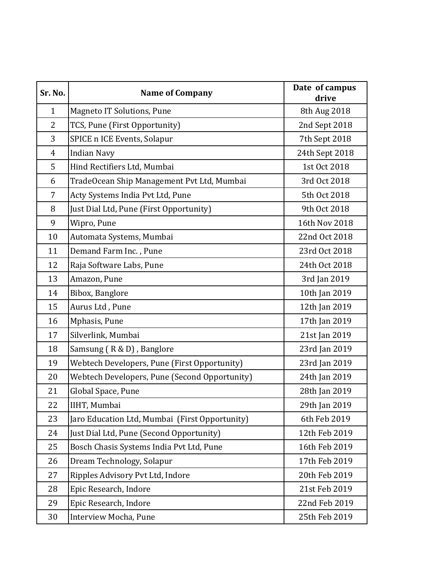| Sr. No.      | <b>Name of Company</b>                         | Date of campus<br>drive |
|--------------|------------------------------------------------|-------------------------|
| $\mathbf{1}$ | <b>Magneto IT Solutions, Pune</b>              | 8th Aug 2018            |
| 2            | TCS, Pune (First Opportunity)                  | 2nd Sept 2018           |
| 3            | SPICE n ICE Events, Solapur                    | 7th Sept 2018           |
| 4            | <b>Indian Navy</b>                             | 24th Sept 2018          |
| 5            | Hind Rectifiers Ltd, Mumbai                    | 1st Oct 2018            |
| 6            | TradeOcean Ship Management Pvt Ltd, Mumbai     | 3rd Oct 2018            |
| 7            | Acty Systems India Pvt Ltd, Pune               | 5th Oct 2018            |
| 8            | Just Dial Ltd, Pune (First Opportunity)        | 9th Oct 2018            |
| 9            | Wipro, Pune                                    | 16th Nov 2018           |
| 10           | Automata Systems, Mumbai                       | 22nd Oct 2018           |
| 11           | Demand Farm Inc., Pune                         | 23rd Oct 2018           |
| 12           | Raja Software Labs, Pune                       | 24th Oct 2018           |
| 13           | Amazon, Pune                                   | 3rd Jan 2019            |
| 14           | Bibox, Banglore                                | 10th Jan 2019           |
| 15           | Aurus Ltd, Pune                                | 12th Jan 2019           |
| 16           | Mphasis, Pune                                  | 17th Jan 2019           |
| 17           | Silverlink, Mumbai                             | 21st Jan 2019           |
| 18           | Samsung (R & D), Banglore                      | 23rd Jan 2019           |
| 19           | Webtech Developers, Pune (First Opportunity)   | 23rd Jan 2019           |
| 20           | Webtech Developers, Pune (Second Opportunity)  | 24th Jan 2019           |
| 21           | Global Space, Pune                             | 28th Jan 2019           |
| 22           | IIHT, Mumbai                                   | 29th Jan 2019           |
| 23           | Jaro Education Ltd, Mumbai (First Opportunity) | 6th Feb 2019            |
| 24           | Just Dial Ltd, Pune (Second Opportunity)       | 12th Feb 2019           |
| 25           | Bosch Chasis Systems India Pvt Ltd, Pune       | 16th Feb 2019           |
| 26           | Dream Technology, Solapur                      | 17th Feb 2019           |
| 27           | Ripples Advisory Pvt Ltd, Indore               | 20th Feb 2019           |
| 28           | Epic Research, Indore                          | 21st Feb 2019           |
| 29           | Epic Research, Indore                          | 22nd Feb 2019           |
| 30           | Interview Mocha, Pune                          | 25th Feb 2019           |